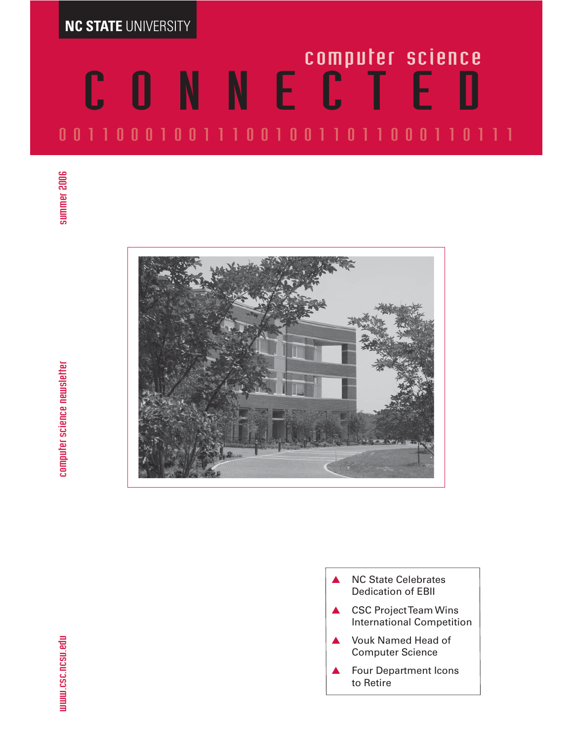**NC STATE** UNIVERSITY

# CONNE<sup>computer science</sup> 00110001001110010011011000110111



**NC State Celebrates** Dedication of EBII ▲ CSC Project Team Wins International Competition ▲ Vouk Named Head of Computer Science Four Department Icons to Retire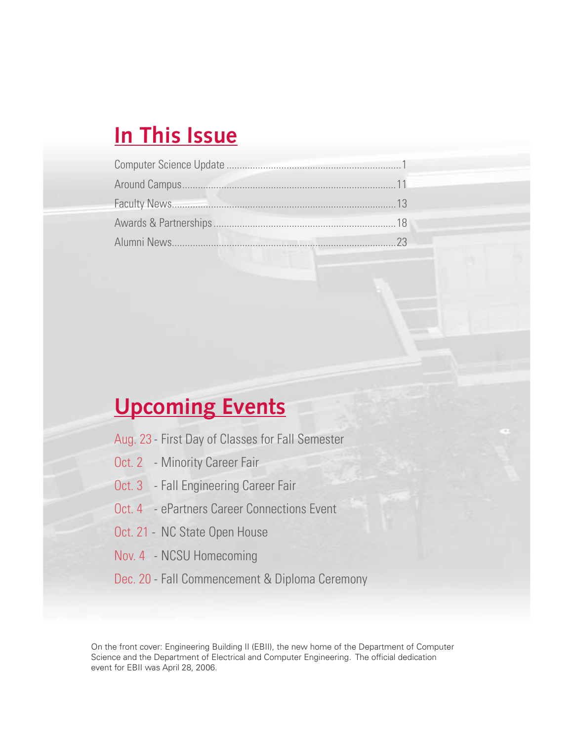# **In This Issue**

# **Upcoming Events**

- Aug. 23 First Day of Classes for Fall Semester
- Oct. 2 Minority Career Fair
- Oct. 3 Fall Engineering Career Fair
- Oct. 4 ePartners Career Connections Event
- Oct. 21 NC State Open House
- Nov. 4 NCSU Homecoming
- Dec. 20 Fall Commencement & Diploma Ceremony

On the front cover: Engineering Building II (EBII), the new home of the Department of Computer Science and the Department of Electrical and Computer Engineering. The official dedication event for EBII was April 28, 2006.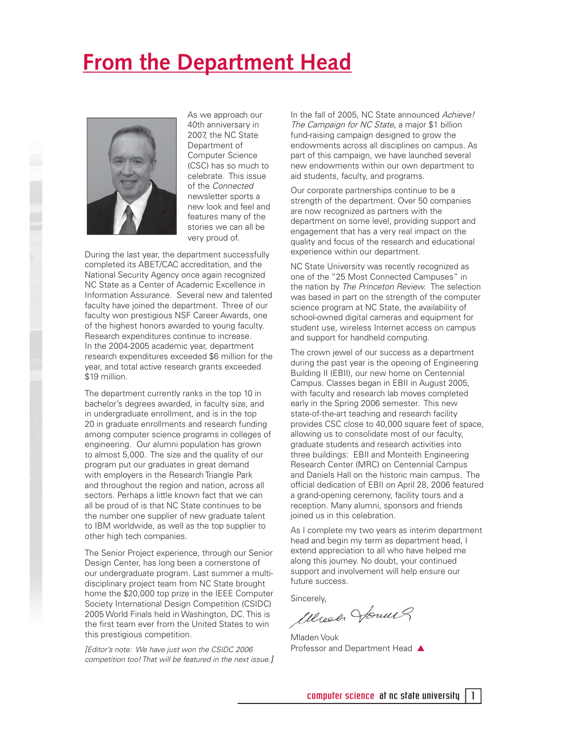# **From the Department Head**



As we approach our 40th anniversary in 2007, the NC State Department of Computer Science (CSC) has so much to celebrate. This issue of the Connected newsletter sports a new look and feel and features many of the stories we can all be very proud of.

During the last year, the department successfully completed its ABET/CAC accreditation, and the National Security Agency once again recognized NC State as a Center of Academic Excellence in Information Assurance. Several new and talented faculty have joined the department. Three of our faculty won prestigious NSF Career Awards, one of the highest honors awarded to young faculty. Research expenditures continue to increase. In the 2004-2005 academic year, department research expenditures exceeded \$6 million for the year, and total active research grants exceeded \$19 million.

The department currently ranks in the top 10 in bachelor's degrees awarded, in faculty size, and in undergraduate enrollment, and is in the top 20 in graduate enrollments and research funding among computer science programs in colleges of engineering. Our alumni population has grown to almost 5,000. The size and the quality of our program put our graduates in great demand with employers in the Research Triangle Park and throughout the region and nation, across all sectors. Perhaps a little known fact that we can all be proud of is that NC State continues to be the number one supplier of new graduate talent to IBM worldwide, as well as the top supplier to other high tech companies.

The Senior Project experience, through our Senior Design Center, has long been a cornerstone of our undergraduate program. Last summer a multidisciplinary project team from NC State brought home the \$20,000 top prize in the IEEE Computer Society International Design Competition (CSIDC) 2005 World Finals held in Washington, DC. This is the first team ever from the United States to win this prestigious competition.

[Editor's note: We have just won the CSIDC 2006 competition too! That will be featured in the next issue.] In the fall of 2005, NC State announced Achieve! The Campaign for NC State, a major \$1 billion fund-raising campaign designed to grow the endowments across all disciplines on campus. As part of this campaign, we have launched several new endowments within our own department to aid students, faculty, and programs.

Our corporate partnerships continue to be a strength of the department. Over 50 companies are now recognized as partners with the department on some level, providing support and engagement that has a very real impact on the quality and focus of the research and educational experience within our department.

NC State University was recently recognized as one of the "25 Most Connected Campuses" in the nation by The Princeton Review. The selection was based in part on the strength of the computer science program at NC State, the availability of school-owned digital cameras and equipment for student use, wireless Internet access on campus and support for handheld computing.

The crown jewel of our success as a department during the past year is the opening of Engineering Building II (EBII), our new home on Centennial Campus. Classes began in EBII in August 2005, with faculty and research lab moves completed early in the Spring 2006 semester. This new state-of-the-art teaching and research facility provides CSC close to 40,000 square feet of space, allowing us to consolidate most of our faculty, graduate students and research activities into three buildings: EBII and Monteith Engineering Research Center (MRC) on Centennial Campus and Daniels Hall on the historic main campus. The official dedication of EBII on April 28, 2006 featured a grand-opening ceremony, facility tours and a reception. Many alumni, sponsors and friends joined us in this celebration.

As I complete my two years as interim department head and begin my term as department head, I extend appreciation to all who have helped me along this journey. No doubt, your continued support and involvement will help ensure our future success.

Sincerely,<br>*Wereal Houm*?

Mladen Vouk Professor and Department Head ▲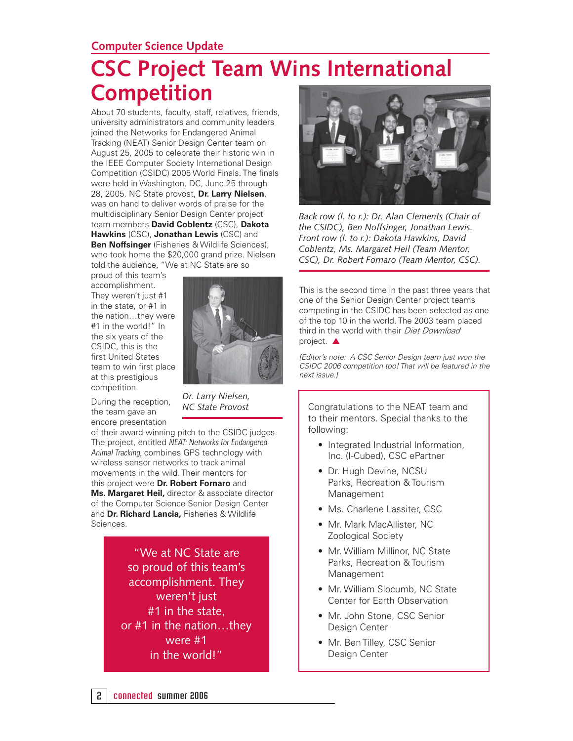#### **Computer Science Update**

# **CSC Project Team Wins International Competition**

About 70 students, faculty, staff, relatives, friends, university administrators and community leaders joined the Networks for Endangered Animal Tracking (NEAT) Senior Design Center team on August 25, 2005 to celebrate their historic win in the IEEE Computer Society International Design Competition (CSIDC) 2005 World Finals. The finals were held in Washington, DC, June 25 through 28, 2005. NC State provost, **Dr. Larry Nielsen**, was on hand to deliver words of praise for the multidisciplinary Senior Design Center project team members **David Coblentz** (CSC), **Dakota Hawkins** (CSC), **Jonathan Lewis** (CSC) and **Ben Noffsinger** (Fisheries & Wildlife Sciences), who took home the \$20,000 grand prize. Nielsen told the audience, "We at NC State are so

proud of this team's accomplishment. They weren't just #1 in the state, or #1 in the nation…they were #1 in the world!" In the six years of the CSIDC, this is the first United States team to win first place at this prestigious competition.



During the reception, the team gave an encore presentation

*Dr. Larry Nielsen, NC State Provost*

of their award-winning pitch to the CSIDC judges. The project, entitled NEAT: Networks for Endangered Animal Tracking, combines GPS technology with wireless sensor networks to track animal movements in the wild. Their mentors for this project were **Dr. Robert Fornaro** and **Ms. Margaret Heil,** director & associate director of the Computer Science Senior Design Center and **Dr. Richard Lancia,** Fisheries & Wildlife Sciences.

> "We at NC State are so proud of this team's accomplishment. They weren't just #1 in the state, or #1 in the nation…they were #1 in the world!"



*Back row (l. to r.): Dr. Alan Clements (Chair of the CSIDC), Ben Noffsinger, Jonathan Lewis. Front row (l. to r.): Dakota Hawkins, David Coblentz, Ms. Margaret Heil (Team Mentor, CSC), Dr. Robert Fornaro (Team Mentor, CSC).* 

This is the second time in the past three years that one of the Senior Design Center project teams competing in the CSIDC has been selected as one of the top 10 in the world. The 2003 team placed third in the world with their Diet Download project. ▲

[Editor's note: A CSC Senior Design team just won the CSIDC 2006 competition too! That will be featured in the next issue.]

Congratulations to the NEAT team and to their mentors. Special thanks to the following:

- Integrated Industrial Information, Inc. (I-Cubed), CSC ePartner
- Dr. Hugh Devine, NCSU Parks, Recreation & Tourism Management
- Ms. Charlene Lassiter, CSC
- Mr. Mark MacAllister, NC Zoological Society
- Mr. William Millinor, NC State Parks, Recreation & Tourism Management
- Mr. William Slocumb, NC State Center for Earth Observation
- Mr. John Stone, CSC Senior Design Center
- Mr. Ben Tilley, CSC Senior Design Center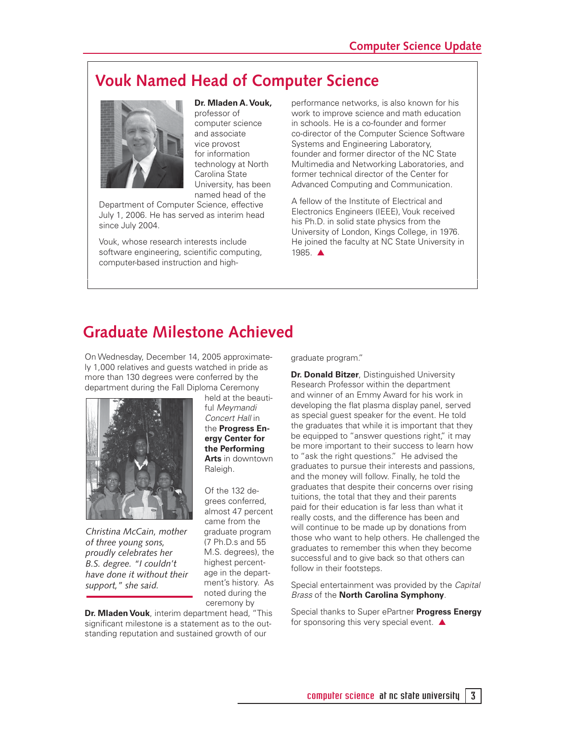### **Vouk Named Head of Computer Science**



**Dr. Mladen A. Vouk,**  professor of computer science and associate vice provost for information technology at North Carolina State University, has been named head of the

Department of Computer Science, effective July 1, 2006. He has served as interim head since July 2004.

Vouk, whose research interests include software engineering, scientific computing, computer-based instruction and highperformance networks, is also known for his work to improve science and math education in schools. He is a co-founder and former co-director of the Computer Science Software Systems and Engineering Laboratory, founder and former director of the NC State Multimedia and Networking Laboratories, and former technical director of the Center for Advanced Computing and Communication.

A fellow of the Institute of Electrical and Electronics Engineers (IEEE), Vouk received his Ph.D. in solid state physics from the University of London, Kings College, in 1976. He joined the faculty at NC State University in 1985. ▲

### **Graduate Milestone Achieved**

On Wednesday, December 14, 2005 approximately 1,000 relatives and guests watched in pride as more than 130 degrees were conferred by the department during the Fall Diploma Ceremony



*Christina McCain, mother of three young sons, proudly celebrates her B.S. degree. "I couldn't have done it without their support," she said.*

held at the beautiful Meymandi Concert Hall in the **Progress Energy Center for the Performing Arts** in downtown Raleigh.

Of the 132 degrees conferred, almost 47 percent came from the graduate program (7 Ph.D.s and 55 M.S. degrees), the highest percentage in the department's history. As noted during the ceremony by

**Dr. Mladen Vouk**, interim department head, "This significant milestone is a statement as to the outstanding reputation and sustained growth of our

graduate program."

**Dr. Donald Bitzer**, Distinguished University Research Professor within the department and winner of an Emmy Award for his work in developing the flat plasma display panel, served as special guest speaker for the event. He told the graduates that while it is important that they be equipped to "answer questions right," it may be more important to their success to learn how to "ask the right questions." He advised the graduates to pursue their interests and passions, and the money will follow. Finally, he told the graduates that despite their concerns over rising tuitions, the total that they and their parents paid for their education is far less than what it really costs, and the difference has been and will continue to be made up by donations from those who want to help others. He challenged the graduates to remember this when they become successful and to give back so that others can follow in their footsteps.

Special entertainment was provided by the Capital Brass of the **North Carolina Symphony**.

Special thanks to Super ePartner **Progress Energy** for sponsoring this very special event. ▲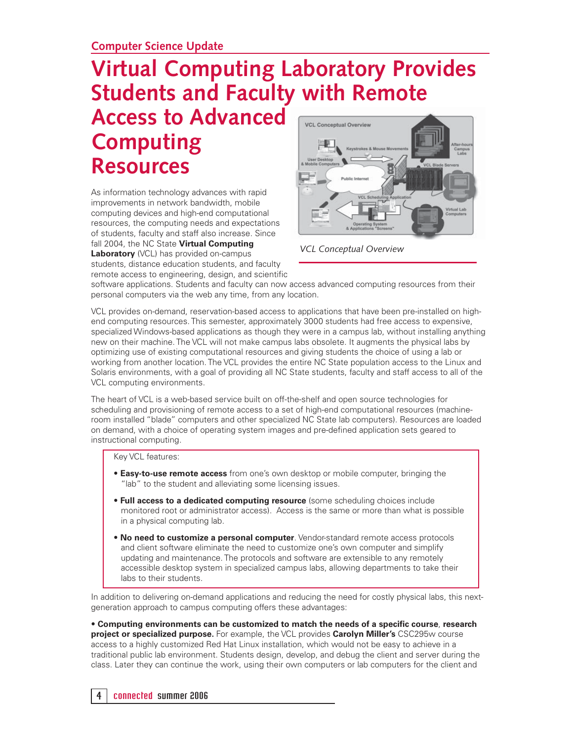# **Virtual Computing Laboratory Provides Students and Faculty with Remote**

# **Access to Advanced Computing Resources**

As information technology advances with rapid improvements in network bandwidth, mobile computing devices and high-end computational resources, the computing needs and expectations of students, faculty and staff also increase. Since fall 2004, the NC State **Virtual Computing Laboratory** (VCL) has provided on-campus students, distance education students, and faculty remote access to engineering, design, and scientific



*VCL Conceptual Overview*

software applications. Students and faculty can now access advanced computing resources from their personal computers via the web any time, from any location.

VCL provides on-demand, reservation-based access to applications that have been pre-installed on highend computing resources. This semester, approximately 3000 students had free access to expensive, specialized Windows-based applications as though they were in a campus lab, without installing anything new on their machine. The VCL will not make campus labs obsolete. It augments the physical labs by optimizing use of existing computational resources and giving students the choice of using a lab or working from another location. The VCL provides the entire NC State population access to the Linux and Solaris environments, with a goal of providing all NC State students, faculty and staff access to all of the VCL computing environments.

The heart of VCL is a web-based service built on off-the-shelf and open source technologies for scheduling and provisioning of remote access to a set of high-end computational resources (machineroom installed "blade" computers and other specialized NC State lab computers). Resources are loaded on demand, with a choice of operating system images and pre-defined application sets geared to instructional computing.

Key VCL features:

- **Easy-to-use remote access** from one's own desktop or mobile computer, bringing the "lab" to the student and alleviating some licensing issues.
- **Full access to a dedicated computing resource** (some scheduling choices include monitored root or administrator access). Access is the same or more than what is possible in a physical computing lab.
- **No need to customize a personal computer**. Vendor-standard remote access protocols and client software eliminate the need to customize one's own computer and simplify updating and maintenance. The protocols and software are extensible to any remotely accessible desktop system in specialized campus labs, allowing departments to take their labs to their students.

In addition to delivering on-demand applications and reducing the need for costly physical labs, this nextgeneration approach to campus computing offers these advantages:

• Computing environments can be customized to match the needs of a specific course, research **project or specialized purpose.** For example, the VCL provides **Carolyn Miller's** CSC295w course access to a highly customized Red Hat Linux installation, which would not be easy to achieve in a traditional public lab environment. Students design, develop, and debug the client and server during the class. Later they can continue the work, using their own computers or lab computers for the client and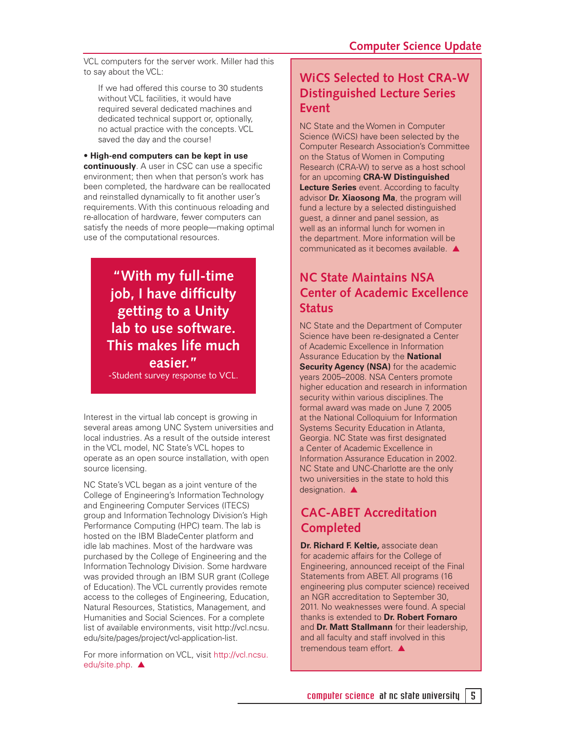VCL computers for the server work. Miller had this to say about the VCL:

If we had offered this course to 30 students without VCL facilities, it would have required several dedicated machines and dedicated technical support or, optionally, no actual practice with the concepts. VCL saved the day and the course!

• **High-end computers can be kept in use continuously**. A user in CSC can use a specific environment; then when that person's work has been completed, the hardware can be reallocated and reinstalled dynamically to fit another user's requirements. With this continuous reloading and re-allocation of hardware, fewer computers can satisfy the needs of more people—making optimal use of the computational resources.

> **"With my full-time job, I have difficulty getting to a Unity lab to use software. This makes life much easier."**

-Student survey response to VCL.

Interest in the virtual lab concept is growing in several areas among UNC System universities and local industries. As a result of the outside interest in the VCL model, NC State's VCL hopes to operate as an open source installation, with open source licensing.

NC State's VCL began as a joint venture of the College of Engineering's Information Technology and Engineering Computer Services (ITECS) group and Information Technology Division's High Performance Computing (HPC) team. The lab is hosted on the IBM BladeCenter platform and idle lab machines. Most of the hardware was purchased by the College of Engineering and the Information Technology Division. Some hardware was provided through an IBM SUR grant (College of Education). The VCL currently provides remote access to the colleges of Engineering, Education, Natural Resources, Statistics, Management, and Humanities and Social Sciences. For a complete list of available environments, visit http://vcl.ncsu. edu/site/pages/project/vcl-application-list.

For more information on VCL, visit http://vcl.ncsu. edu/site.php. ▲

### **WiCS Selected to Host CRA-W Distinguished Lecture Series Event**

NC State and the Women in Computer Science (WiCS) have been selected by the Computer Research Association's Committee on the Status of Women in Computing Research (CRA-W) to serve as a host school for an upcoming **CRA-W Distinguished Lecture Series** event. According to faculty advisor **Dr. Xiaosong Ma**, the program will fund a lecture by a selected distinguished guest, a dinner and panel session, as well as an informal lunch for women in the department. More information will be communicated as it becomes available. ▲

### **NC State Maintains NSA Center of Academic Excellence Status**

NC State and the Department of Computer Science have been re-designated a Center of Academic Excellence in Information Assurance Education by the **National Security Agency (NSA)** for the academic years 2005–2008. NSA Centers promote higher education and research in information security within various disciplines. The formal award was made on June 7, 2005 at the National Colloquium for Information Systems Security Education in Atlanta, Georgia. NC State was first designated a Center of Academic Excellence in Information Assurance Education in 2002. NC State and UNC-Charlotte are the only two universities in the state to hold this designation **▲** 

### **CAC-ABET Accreditation Completed**

**Dr. Richard F. Keltie,** associate dean for academic affairs for the College of Engineering, announced receipt of the Final Statements from ABET. All programs (16 engineering plus computer science) received an NGR accreditation to September 30, 2011. No weaknesses were found. A special thanks is extended to **Dr. Robert Fornaro**  and **Dr. Matt Stallmann** for their leadership, and all faculty and staff involved in this tremendous team effort. ▲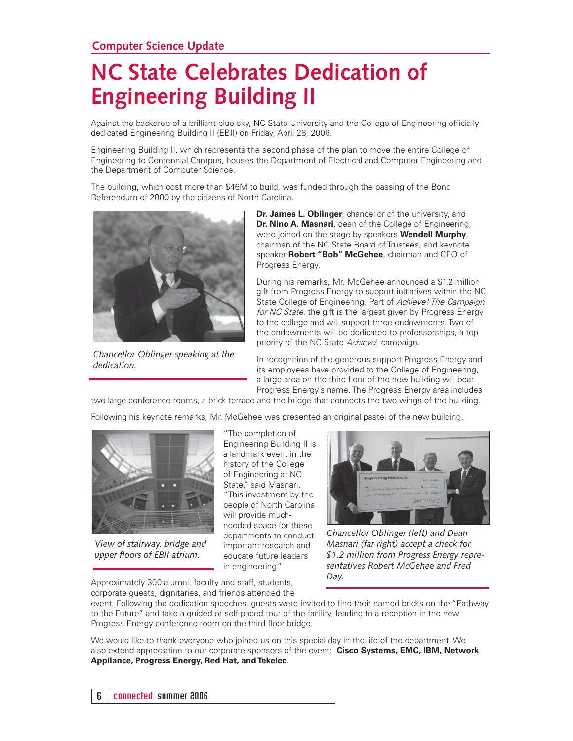# **NC State Celebrates Dedication of Engineering Building II**

Against the backdrop of a brilliant blue sky, NC State University and the College of Engineering officially dedicated Engineering Building II (EBII) on Friday, April 28, 2006.

Engineering Building II, which represents the second phase of the plan to move the entire College of Engineering to Centennial Campus, houses the Department of Electrical and Computer Engineering and the Department of Computer Science.

The building, which cost more than \$46M to build, was funded through the passing of the Bond Referendum of 2000 by the citizens of North Carolina.



*Chancellor Oblinger speaking at the dedication.*

**Dr. James L. Oblinger**, chancellor of the university, and **Dr. Nino A. Masnari**, dean of the College of Engineering, were joined on the stage by speakers **Wendell Murphy**, chairman of the NC State Board of Trustees, and keynote speaker **Robert "Bob" McGehee**, chairman and CEO of Progress Energy.

During his remarks, Mr. McGehee announced a \$1.2 million gift from Progress Energy to support initiatives within the NC State College of Engineering. Part of Achieve! The Campaign for NC State, the gift is the largest given by Progress Energy to the college and will support three endowments. Two of the endowments will be dedicated to professorships, a top priority of the NC State Achieve! campaign.

In recognition of the generous support Progress Energy and its employees have provided to the College of Engineering, a large area on the third floor of the new building will bear Progress Energy's name. The Progress Energy area includes

two large conference rooms, a brick terrace and the bridge that connects the two wings of the building.

Following his keynote remarks, Mr. McGehee was presented an original pastel of the new building.



*View of stairway, bridge and upper floors of EBII atrium.* 

"The completion of Engineering Building II is a landmark event in the history of the College of Engineering at NC State," said Masnari. "This investment by the people of North Carolina will provide muchneeded space for these departments to conduct important research and educate future leaders in engineering."



*Chancellor Oblinger (left) and Dean Masnari (far right) accept a check for \$1.2 million from Progress Energy representatives Robert McGehee and Fred Day.*

Approximately 300 alumni, faculty and staff, students, corporate guests, dignitaries, and friends attended the

event. Following the dedication speeches, guests were invited to find their named bricks on the "Pathwav to the Future" and take a guided or self-paced tour of the facility, leading to a reception in the new Progress Energy conference room on the third floor bridge.

We would like to thank everyone who joined us on this special day in the life of the department. We also extend appreciation to our corporate sponsors of the event: **Cisco Systems, EMC, IBM, Network Appliance, Progress Energy, Red Hat, and Tekelec**.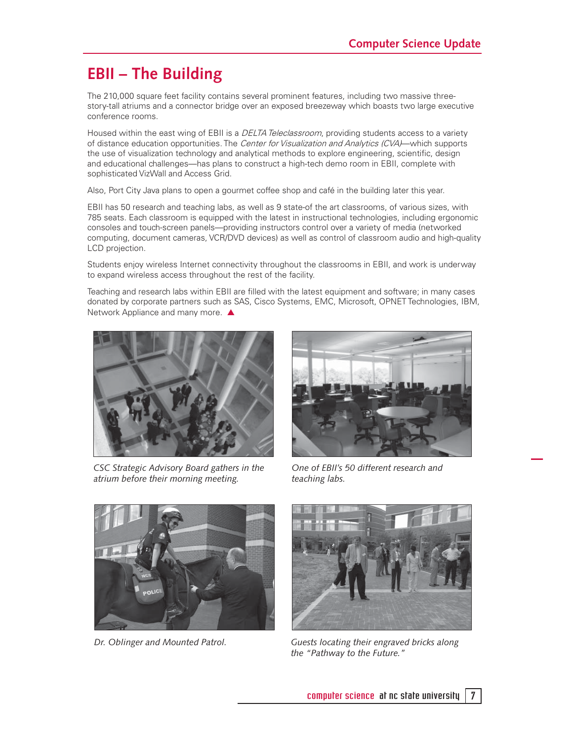### **EBII – The Building**

The 210,000 square feet facility contains several prominent features, including two massive threestory-tall atriums and a connector bridge over an exposed breezeway which boasts two large executive conference rooms.

Housed within the east wing of EBII is a DELTA Teleclassroom, providing students access to a variety of distance education opportunities. The Center for Visualization and Analytics (CVA)—which supports the use of visualization technology and analytical methods to explore engineering, scientific, design and educational challenges—has plans to construct a high-tech demo room in EBII, complete with sophisticated VizWall and Access Grid.

Also, Port City Java plans to open a gourmet coffee shop and café in the building later this year.

EBII has 50 research and teaching labs, as well as 9 state-of the art classrooms, of various sizes, with 785 seats. Each classroom is equipped with the latest in instructional technologies, including ergonomic consoles and touch-screen panels—providing instructors control over a variety of media (networked computing, document cameras, VCR/DVD devices) as well as control of classroom audio and high-quality LCD projection.

Students enjoy wireless Internet connectivity throughout the classrooms in EBII, and work is underway to expand wireless access throughout the rest of the facility.

Teaching and research labs within EBII are filled with the latest equipment and software; in many cases donated by corporate partners such as SAS, Cisco Systems, EMC, Microsoft, OPNET Technologies, IBM, Network Appliance and many more. ▲



*CSC Strategic Advisory Board gathers in the atrium before their morning meeting.*



*One of EBII's 50 different research and teaching labs.*



*Dr. Oblinger and Mounted Patrol.*



*Guests locating their engraved bricks along the "Pathway to the Future."*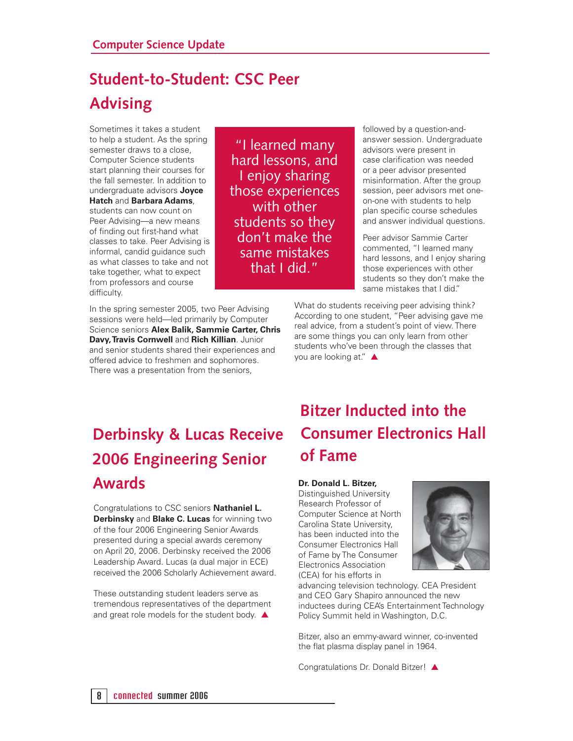### **Student-to-Student: CSC Peer Advising**

Sometimes it takes a student to help a student. As the spring semester draws to a close, Computer Science students start planning their courses for the fall semester. In addition to undergraduate advisors **Joyce Hatch** and **Barbara Adams**, students can now count on Peer Advising—a new means of finding out first-hand what classes to take. Peer Advising is informal, candid guidance such

as what classes to take and not take together, what to expect from professors and course difficulty.

In the spring semester 2005, two Peer Advising sessions were held—led primarily by Computer Science seniors **Alex Balik, Sammie Carter, Chris Davy, Travis Cornwell** and **Rich Killian**. Junior and senior students shared their experiences and offered advice to freshmen and sophomores. There was a presentation from the seniors,

"I learned many hard lessons, and I enjoy sharing those experiences with other students so they don't make the same mistakes that I did."

followed by a question-andanswer session. Undergraduate advisors were present in case clarification was needed or a peer advisor presented misinformation. After the group session, peer advisors met oneon-one with students to help plan specific course schedules and answer individual questions.

Peer advisor Sammie Carter commented, "I learned many hard lessons, and I enjoy sharing those experiences with other students so they don't make the same mistakes that I did."

What do students receiving peer advising think? According to one student, "Peer advising gave me real advice, from a student's point of view. There are some things you can only learn from other students who've been through the classes that you are looking at." ▲

# **Derbinsky & Lucas Receive 2006 Engineering Senior Awards**

Congratulations to CSC seniors **Nathaniel L. Derbinsky** and **Blake C. Lucas** for winning two of the four 2006 Engineering Senior Awards presented during a special awards ceremony on April 20, 2006. Derbinsky received the 2006 Leadership Award. Lucas (a dual major in ECE) received the 2006 Scholarly Achievement award.

These outstanding student leaders serve as tremendous representatives of the department and great role models for the student body. ▲

# **Bitzer Inducted into the Consumer Electronics Hall of Fame**

#### **Dr. Donald L. Bitzer,**

Distinguished University Research Professor of Computer Science at North Carolina State University, has been inducted into the Consumer Electronics Hall of Fame by The Consumer Electronics Association (CEA) for his efforts in



advancing television technology. CEA President and CEO Gary Shapiro announced the new inductees during CEA's Entertainment Technology Policy Summit held in Washington, D.C.

Bitzer, also an emmy-award winner, co-invented the flat plasma display panel in 1964.

Congratulations Dr. Donald Bitzer! ▲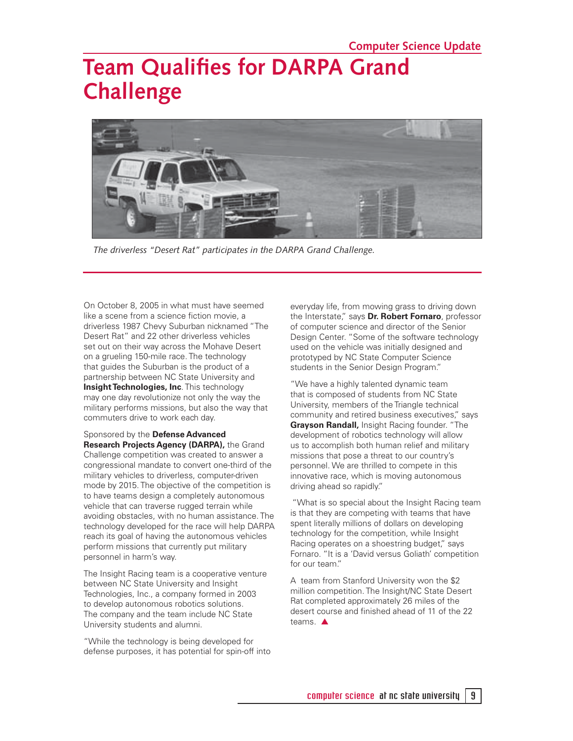# **Team Qualifies for DARPA Grand Challenge**



*The driverless "Desert Rat" participates in the DARPA Grand Challenge.*

On October 8, 2005 in what must have seemed like a scene from a science fiction movie, a driverless 1987 Chevy Suburban nicknamed "The Desert Rat" and 22 other driverless vehicles set out on their way across the Mohave Desert on a grueling 150-mile race. The technology that guides the Suburban is the product of a partnership between NC State University and **Insight Technologies, Inc. This technology** may one day revolutionize not only the way the military performs missions, but also the way that commuters drive to work each day.

#### Sponsored by the **Defense Advanced Research Projects Agency (DARPA),** the Grand

Challenge competition was created to answer a congressional mandate to convert one-third of the military vehicles to driverless, computer-driven mode by 2015. The objective of the competition is to have teams design a completely autonomous vehicle that can traverse rugged terrain while avoiding obstacles, with no human assistance. The technology developed for the race will help DARPA reach its goal of having the autonomous vehicles perform missions that currently put military personnel in harm's way.

The Insight Racing team is a cooperative venture between NC State University and Insight Technologies, Inc., a company formed in 2003 to develop autonomous robotics solutions. The company and the team include NC State University students and alumni.

"While the technology is being developed for defense purposes, it has potential for spin-off into everyday life, from mowing grass to driving down the Interstate," says **Dr. Robert Fornaro**, professor of computer science and director of the Senior Design Center. "Some of the software technology used on the vehicle was initially designed and prototyped by NC State Computer Science students in the Senior Design Program."

"We have a highly talented dynamic team that is composed of students from NC State University, members of the Triangle technical community and retired business executives," says **Grayson Randall,** Insight Racing founder. "The development of robotics technology will allow us to accomplish both human relief and military missions that pose a threat to our country's personnel. We are thrilled to compete in this innovative race, which is moving autonomous driving ahead so rapidly."

 "What is so special about the Insight Racing team is that they are competing with teams that have spent literally millions of dollars on developing technology for the competition, while Insight Racing operates on a shoestring budget," says Fornaro. "It is a 'David versus Goliath' competition for our team."

A team from Stanford University won the \$2 million competition. The Insight/NC State Desert Rat completed approximately 26 miles of the desert course and finished ahead of 11 of the 22 teams. ▲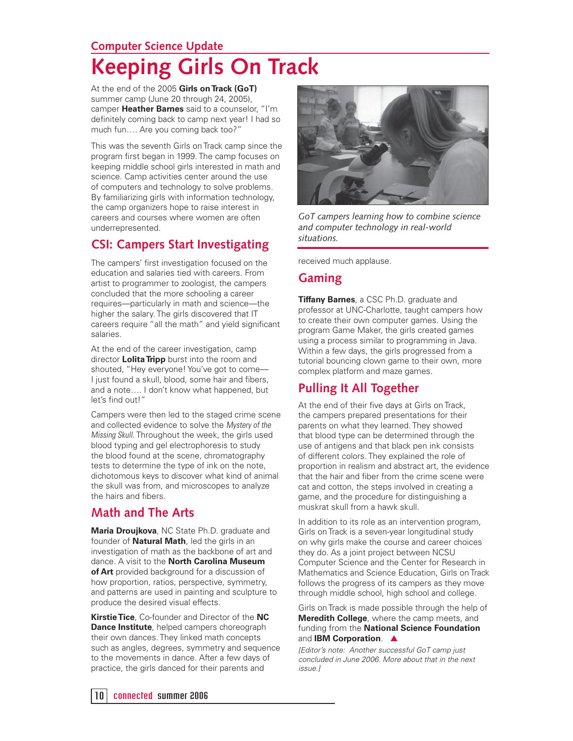### **Computer Science Update Keeping Girls On Track**

At the end of the 2005 **Girls on Track (GoT)** summer camp (June 20 through 24, 2005), camper **Heather Barnes** said to a counselor, "I'm definitely coming back to camp next year! I had so much fun…. Are you coming back too?"

This was the seventh Girls on Track camp since the program first began in 1999. The camp focuses on keeping middle school girls interested in math and science. Camp activities center around the use of computers and technology to solve problems. By familiarizing girls with information technology, the camp organizers hope to raise interest in careers and courses where women are often underrepresented.

### **CSI: Campers Start Investigating**

The campers' first investigation focused on the education and salaries tied with careers. From artist to programmer to zoologist, the campers concluded that the more schooling a career requires—particularly in math and science—the higher the salary. The girls discovered that IT careers require "all the math" and yield significant salaries.

At the end of the career investigation, camp director **Lolita Tripp** burst into the room and shouted, "Hey everyone! You've got to come— I just found a skull, blood, some hair and fibers, and a note…. I don't know what happened, but let's find out!"

Campers were then led to the staged crime scene and collected evidence to solve the Mystery of the Missing Skull. Throughout the week, the girls used blood typing and gel electrophoresis to study the blood found at the scene, chromatography tests to determine the type of ink on the note, dichotomous keys to discover what kind of animal the skull was from, and microscopes to analyze the hairs and fibers.

### **Math and The Arts**

**Maria Droujkova**, NC State Ph.D. graduate and founder of **Natural Math**, led the girls in an investigation of math as the backbone of art and dance. A visit to the **North Carolina Museum of Art** provided background for a discussion of how proportion, ratios, perspective, symmetry, and patterns are used in painting and sculpture to produce the desired visual effects.

**Kirstie Tice**, Co-founder and Director of the **NC Dance Institute**, helped campers choreograph their own dances. They linked math concepts such as angles, degrees, symmetry and sequence to the movements in dance. After a few days of practice, the girls danced for their parents and



*GoT campers learning how to combine science and computer technology in real-world situations.*

received much applause.

#### **Gaming**

**Tiffany Barnes**, a CSC Ph.D. graduate and professor at UNC-Charlotte, taught campers how to create their own computer games. Using the program Game Maker, the girls created games using a process similar to programming in Java. Within a few days, the girls progressed from a tutorial bouncing clown game to their own, more complex platform and maze games.

### **Pulling It All Together**

At the end of their five days at Girls on Track, the campers prepared presentations for their parents on what they learned. They showed that blood type can be determined through the use of antigens and that black pen ink consists of different colors. They explained the role of proportion in realism and abstract art, the evidence that the hair and fiber from the crime scene were cat and cotton, the steps involved in creating a game, and the procedure for distinguishing a muskrat skull from a hawk skull.

In addition to its role as an intervention program. Girls on Track is a seven-year longitudinal study on why girls make the course and career choices they do. As a joint project between NCSU Computer Science and the Center for Research in Mathematics and Science Education, Girls on Track follows the progress of its campers as they move through middle school, high school and college.

Girls on Track is made possible through the help of **Meredith College**, where the camp meets, and funding from the **National Science Foundation** and **IBM Corporation.**  $\triangle$ 

[Editor's note: Another successful GoT camp just concluded in June 2006. More about that in the next issue.]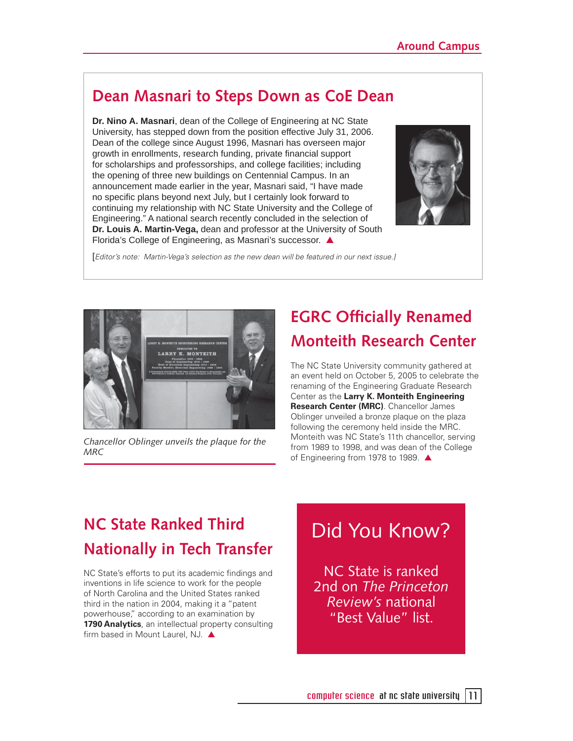### **Dean Masnari to Steps Down as CoE Dean**

**Dr. Nino A. Masnari**, dean of the College of Engineering at NC State University, has stepped down from the position effective July 31, 2006. Dean of the college since August 1996, Masnari has overseen major growth in enrollments, research funding, private financial support for scholarships and professorships, and college facilities; including the opening of three new buildings on Centennial Campus. In an announcement made earlier in the year, Masnari said, "I have made no specific plans beyond next July, but I certainly look forward to continuing my relationship with NC State University and the College of Engineering." A national search recently concluded in the selection of **Dr. Louis A. Martin-Vega,** dean and professor at the University of South Florida's College of Engineering, as Masnari's successor. ▲



[Editor's note: Martin-Vega's selection as the new dean will be featured in our next issue.]



*Chancellor Oblinger unveils the plaque for the MRC*

# **EGRC Officially Renamed Monteith Research Center**

The NC State University community gathered at an event held on October 5, 2005 to celebrate the renaming of the Engineering Graduate Research Center as the **Larry K. Monteith Engineering Research Center (MRC)**. Chancellor James Oblinger unveiled a bronze plaque on the plaza following the ceremony held inside the MRC. Monteith was NC State's 11th chancellor, serving from 1989 to 1998, and was dean of the College of Engineering from 1978 to 1989. ▲

# **NC State Ranked Third Nationally in Tech Transfer**

NC State's efforts to put its academic findings and inventions in life science to work for the people of North Carolina and the United States ranked third in the nation in 2004, making it a "patent powerhouse," according to an examination by **1790 Analytics**, an intellectual property consulting firm based in Mount Laurel, NJ. ▲

# Did You Know?

NC State is ranked 2nd on *The Princeton Review's* national "Best Value" list.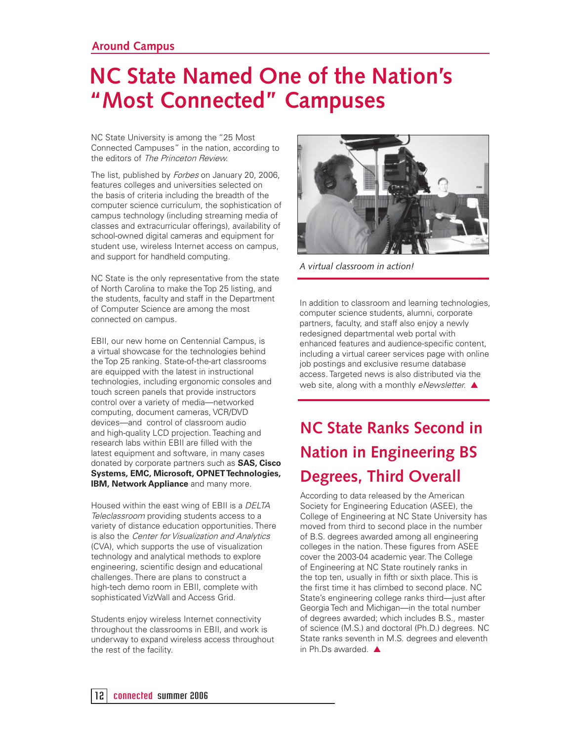# **NC State Named One of the Nation's "Most Connected" Campuses**

NC State University is among the "25 Most Connected Campuses" in the nation, according to the editors of The Princeton Review.

The list, published by Forbes on January 20, 2006, features colleges and universities selected on the basis of criteria including the breadth of the computer science curriculum, the sophistication of campus technology (including streaming media of classes and extracurricular offerings), availability of school-owned digital cameras and equipment for student use, wireless Internet access on campus, and support for handheld computing.

NC State is the only representative from the state of North Carolina to make the Top 25 listing, and the students, faculty and staff in the Department of Computer Science are among the most connected on campus.

EBII, our new home on Centennial Campus, is a virtual showcase for the technologies behind the Top 25 ranking. State-of-the-art classrooms are equipped with the latest in instructional technologies, including ergonomic consoles and touch screen panels that provide instructors control over a variety of media—networked computing, document cameras, VCR/DVD devices—and control of classroom audio and high-quality LCD projection. Teaching and research labs within EBII are filled with the latest equipment and software, in many cases donated by corporate partners such as **SAS, Cisco Systems, EMC, Microsoft, OPNET Technologies, IBM, Network Appliance** and many more.

Housed within the east wing of EBII is a DELTA Teleclassroom providing students access to a variety of distance education opportunities. There is also the Center for Visualization and Analytics (CVA), which supports the use of visualization technology and analytical methods to explore engineering, scientific design and educational challenges. There are plans to construct a high-tech demo room in EBII, complete with sophisticated VizWall and Access Grid.

Students enjoy wireless Internet connectivity throughout the classrooms in EBII, and work is underway to expand wireless access throughout the rest of the facility.



*A virtual classroom in action!*

In addition to classroom and learning technologies, computer science students, alumni, corporate partners, faculty, and staff also enjoy a newly redesigned departmental web portal with enhanced features and audience-specific content, including a virtual career services page with online job postings and exclusive resume database access. Targeted news is also distributed via the web site, along with a monthly eNewsletter. ▲

# **NC State Ranks Second in Nation in Engineering BS Degrees, Third Overall**

According to data released by the American Society for Engineering Education (ASEE), the College of Engineering at NC State University has moved from third to second place in the number of B.S. degrees awarded among all engineering colleges in the nation. These figures from ASEE cover the 2003-04 academic year. The College of Engineering at NC State routinely ranks in the top ten, usually in fifth or sixth place. This is the first time it has climbed to second place. NC State's engineering college ranks third—just after Georgia Tech and Michigan—in the total number of degrees awarded; which includes B.S., master of science (M.S.) and doctoral (Ph.D.) degrees. NC State ranks seventh in M.S. degrees and eleventh in Ph.Ds awarded. ▲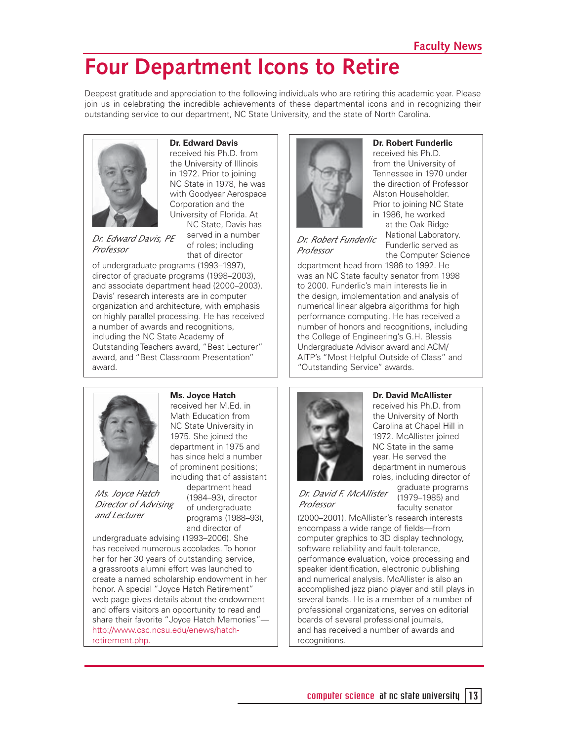# **Four Department Icons to Retire**

Deepest gratitude and appreciation to the following individuals who are retiring this academic year. Please join us in celebrating the incredible achievements of these departmental icons and in recognizing their outstanding service to our department, NC State University, and the state of North Carolina.



**Dr. Edward Davis**

received his Ph.D. from the University of Illinois in 1972. Prior to joining NC State in 1978, he was with Goodyear Aerospace Corporation and the University of Florida. At NC State, Davis has

*Dr. Edward Davis, PE Professor*

served in a number of roles; including that of director

of undergraduate programs (1993–1997), director of graduate programs (1998–2003), and associate department head (2000–2003). Davis' research interests are in computer organization and architecture, with emphasis on highly parallel processing. He has received a number of awards and recognitions, including the NC State Academy of Outstanding Teachers award, "Best Lecturer" award, and "Best Classroom Presentation" award.



**Dr. Robert Funderlic**  received his Ph.D. from the University of Tennessee in 1970 under the direction of Professor Alston Householder. Prior to joining NC State in 1986, he worked at the Oak Ridge

> National Laboratory. Funderlic served as

*Dr. Robert Funderlic Professor*

the Computer Science department head from 1986 to 1992. He was an NC State faculty senator from 1998 to 2000. Funderlic's main interests lie in the design, implementation and analysis of numerical linear algebra algorithms for high performance computing. He has received a number of honors and recognitions, including the College of Engineering's G.H. Blessis Undergraduate Advisor award and ACM/ AITP's "Most Helpful Outside of Class" and "Outstanding Service" awards.



*Ms. Joyce Hatch Director of Advising and Lecturer*

#### **Ms. Joyce Hatch**

received her M.Ed. in Math Education from NC State University in 1975. She joined the department in 1975 and has since held a number of prominent positions; including that of assistant

> department head (1984–93), director of undergraduate programs (1988–93), and director of

undergraduate advising (1993–2006). She has received numerous accolades. To honor her for her 30 years of outstanding service, a grassroots alumni effort was launched to create a named scholarship endowment in her honor. A special "Joyce Hatch Retirement" web page gives details about the endowment and offers visitors an opportunity to read and share their favorite "Joyce Hatch Memories" http://www.csc.ncsu.edu/enews/hatchretirement.php.

# **Dr. David McAllister**  received his Ph.D. from the University of North roles, including director of

Carolina at Chapel Hill in 1972. McAllister joined NC State in the same year. He served the department in numerous

*Dr. David F. McAllister Professor*

graduate programs (1979–1985) and faculty senator

(2000–2001). McAllister's research interests encompass a wide range of fields-from computer graphics to 3D display technology, software reliability and fault-tolerance, performance evaluation, voice processing and speaker identification, electronic publishing and numerical analysis. McAllister is also an accomplished jazz piano player and still plays in several bands. He is a member of a number of professional organizations, serves on editorial boards of several professional journals, and has received a number of awards and recognitions.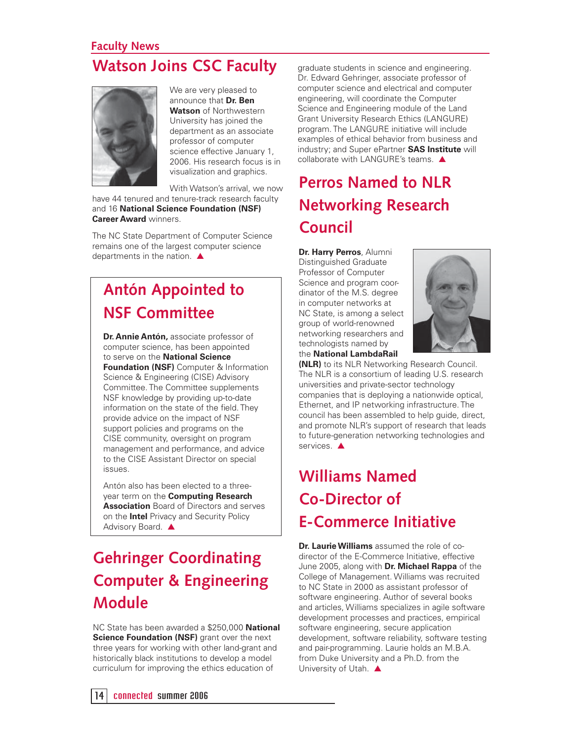### **Faculty News Watson Joins CSC Faculty**



We are very pleased to announce that **Dr. Ben Watson** of Northwestern University has joined the department as an associate professor of computer science effective January 1, 2006. His research focus is in visualization and graphics.

With Watson's arrival, we now

have 44 tenured and tenure-track research faculty and 16 **National Science Foundation (NSF) Career Award** winners.

The NC State Department of Computer Science remains one of the largest computer science departments in the nation. ▲

# **Antón Appointed to NSF Committee**

**Dr. Annie Antón,** associate professor of computer science, has been appointed to serve on the **National Science Foundation (NSF)** Computer & Information Science & Engineering (CISE) Advisory Committee. The Committee supplements NSF knowledge by providing up-to-date information on the state of the field. They provide advice on the impact of NSF support policies and programs on the CISE community, oversight on program management and performance, and advice to the CISE Assistant Director on special issues.

Antón also has been elected to a threeyear term on the **Computing Research Association** Board of Directors and serves on the **Intel** Privacy and Security Policy Advisory Board. ▲

### **Gehringer Coordinating Computer & Engineering Module**

NC State has been awarded a \$250,000 **National Science Foundation (NSF)** grant over the next three years for working with other land-grant and historically black institutions to develop a model curriculum for improving the ethics education of

graduate students in science and engineering. Dr. Edward Gehringer, associate professor of computer science and electrical and computer engineering, will coordinate the Computer Science and Engineering module of the Land Grant University Research Ethics (LANGURE) program. The LANGURE initiative will include examples of ethical behavior from business and industry; and Super ePartner **SAS Institute** will collaborate with LANGURE's teams. ▲

# **Perros Named to NLR Networking Research Council**

**Dr. Harry Perros**, Alumni Distinguished Graduate Professor of Computer Science and program coordinator of the M.S. degree in computer networks at NC State, is among a select group of world-renowned networking researchers and technologists named by the **National LambdaRail** 



**(NLR)** to its NLR Networking Research Council. The NLR is a consortium of leading U.S. research universities and private-sector technology companies that is deploying a nationwide optical, Ethernet, and IP networking infrastructure. The council has been assembled to help guide, direct, and promote NLR's support of research that leads to future-generation networking technologies and services. ▲

# **Williams Named Co-Director of E-Commerce Initiative**

**Dr. Laurie Williams** assumed the role of codirector of the E-Commerce Initiative, effective June 2005, along with **Dr. Michael Rappa** of the College of Management. Williams was recruited to NC State in 2000 as assistant professor of software engineering. Author of several books and articles, Williams specializes in agile software development processes and practices, empirical software engineering, secure application development, software reliability, software testing and pair-programming. Laurie holds an M.B.A. from Duke University and a Ph.D. from the University of Utah. ▲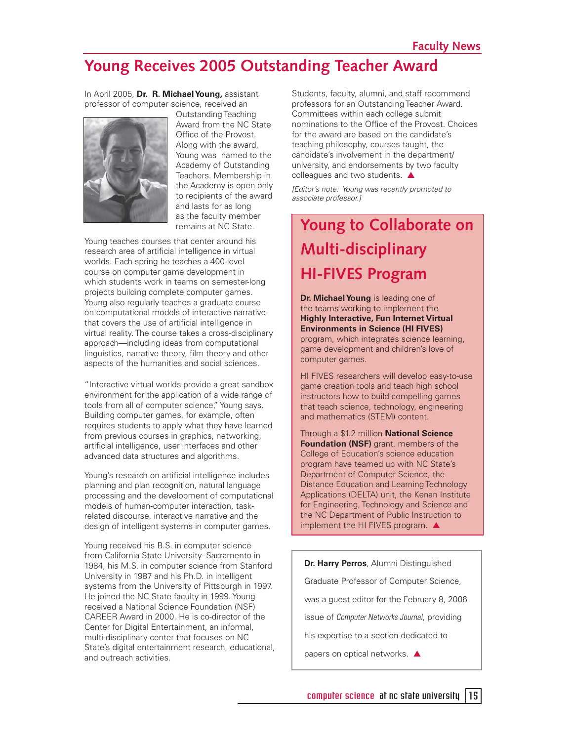### **Young Receives 2005 Outstanding Teacher Award**

In April 2005, **Dr. R. Michael Young,** assistant professor of computer science, received an



Outstanding Teaching Award from the NC State Office of the Provost. Along with the award, Young was named to the Academy of Outstanding Teachers. Membership in the Academy is open only to recipients of the award and lasts for as long as the faculty member remains at NC State.

Young teaches courses that center around his research area of artificial intelligence in virtual worlds. Each spring he teaches a 400-level course on computer game development in which students work in teams on semester-long projects building complete computer games. Young also regularly teaches a graduate course on computational models of interactive narrative that covers the use of artificial intelligence in virtual reality. The course takes a cross-disciplinary approach—including ideas from computational linguistics, narrative theory, film theory and other aspects of the humanities and social sciences.

"Interactive virtual worlds provide a great sandbox environment for the application of a wide range of tools from all of computer science," Young says. Building computer games, for example, often requires students to apply what they have learned from previous courses in graphics, networking, artificial intelligence, user interfaces and other advanced data structures and algorithms.

Young's research on artificial intelligence includes planning and plan recognition, natural language processing and the development of computational models of human-computer interaction, taskrelated discourse, interactive narrative and the design of intelligent systems in computer games.

Young received his B.S. in computer science from California State University–Sacramento in 1984, his M.S. in computer science from Stanford University in 1987 and his Ph.D. in intelligent systems from the University of Pittsburgh in 1997. He joined the NC State faculty in 1999. Young received a National Science Foundation (NSF) CAREER Award in 2000. He is co-director of the Center for Digital Entertainment, an informal, multi-disciplinary center that focuses on NC State's digital entertainment research, educational, and outreach activities.

Students, faculty, alumni, and staff recommend professors for an Outstanding Teacher Award. Committees within each college submit nominations to the Office of the Provost. Choices for the award are based on the candidate's teaching philosophy, courses taught, the candidate's involvement in the department/ university, and endorsements by two faculty colleagues and two students. ▲

[Editor's note: Young was recently promoted to associate professor.]

# **Young to Collaborate on Multi-disciplinary HI-FIVES Program**

**Dr. Michael Young** is leading one of the teams working to implement the **Highly Interactive, Fun Internet Virtual Environments in Science (HI FIVES)** program, which integrates science learning, game development and children's love of computer games.

HI FIVES researchers will develop easy-to-use game creation tools and teach high school instructors how to build compelling games that teach science, technology, engineering and mathematics (STEM) content.

Through a \$1.2 million **National Science Foundation (NSF)** grant, members of the College of Education's science education program have teamed up with NC State's Department of Computer Science, the Distance Education and Learning Technology Applications (DELTA) unit, the Kenan Institute for Engineering, Technology and Science and the NC Department of Public Instruction to implement the HI FIVES program. ▲

**Dr. Harry Perros**, Alumni Distinguished Graduate Professor of Computer Science, was a guest editor for the February 8, 2006 issue of Computer Networks Journal, providing his expertise to a section dedicated to papers on optical networks. ▲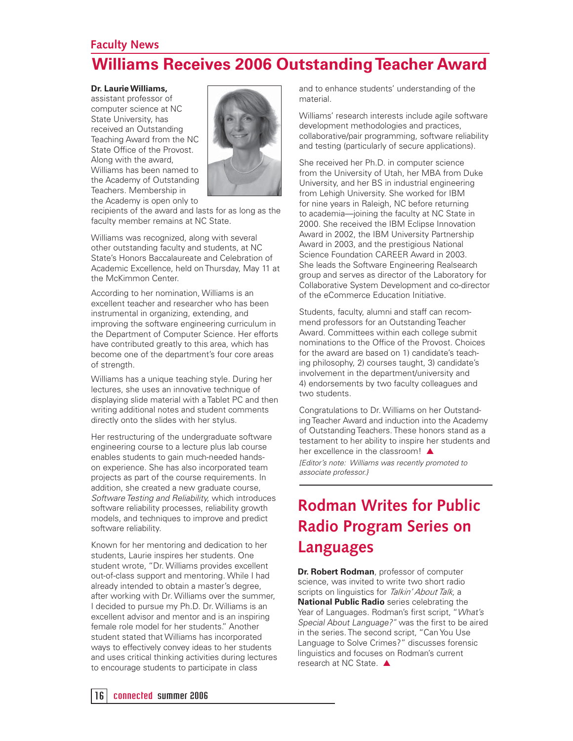### **Faculty News Williams Receives 2006 Outstanding Teacher Award**

#### **Dr. Laurie Williams,**

assistant professor of computer science at NC State University, has received an Outstanding Teaching Award from the NC State Office of the Provost. Along with the award, Williams has been named to the Academy of Outstanding Teachers. Membership in the Academy is open only to



recipients of the award and lasts for as long as the faculty member remains at NC State.

Williams was recognized, along with several other outstanding faculty and students, at NC State's Honors Baccalaureate and Celebration of Academic Excellence, held on Thursday, May 11 at the McKimmon Center.

According to her nomination, Williams is an excellent teacher and researcher who has been instrumental in organizing, extending, and improving the software engineering curriculum in the Department of Computer Science. Her efforts have contributed greatly to this area, which has become one of the department's four core areas of strength.

Williams has a unique teaching style. During her lectures, she uses an innovative technique of displaying slide material with a Tablet PC and then writing additional notes and student comments directly onto the slides with her stylus.

Her restructuring of the undergraduate software engineering course to a lecture plus lab course enables students to gain much-needed handson experience. She has also incorporated team projects as part of the course requirements. In addition, she created a new graduate course, Software Testing and Reliability, which introduces software reliability processes, reliability growth models, and techniques to improve and predict software reliability.

Known for her mentoring and dedication to her students, Laurie inspires her students. One student wrote, "Dr. Williams provides excellent out-of-class support and mentoring. While I had already intended to obtain a master's degree, after working with Dr. Williams over the summer, I decided to pursue my Ph.D. Dr. Williams is an excellent advisor and mentor and is an inspiring female role model for her students." Another student stated that Williams has incorporated ways to effectively convey ideas to her students and uses critical thinking activities during lectures to encourage students to participate in class

and to enhance students' understanding of the material.

Williams' research interests include agile software development methodologies and practices, collaborative/pair programming, software reliability and testing (particularly of secure applications).

She received her Ph.D. in computer science from the University of Utah, her MBA from Duke University, and her BS in industrial engineering from Lehigh University. She worked for IBM for nine years in Raleigh, NC before returning to academia—joining the faculty at NC State in 2000. She received the IBM Eclipse Innovation Award in 2002, the IBM University Partnership Award in 2003, and the prestigious National Science Foundation CAREER Award in 2003. She leads the Software Engineering Realsearch group and serves as director of the Laboratory for Collaborative System Development and co-director of the eCommerce Education Initiative.

Students, faculty, alumni and staff can recommend professors for an Outstanding Teacher Award. Committees within each college submit nominations to the Office of the Provost. Choices for the award are based on 1) candidate's teaching philosophy, 2) courses taught, 3) candidate's involvement in the department/university and 4) endorsements by two faculty colleagues and two students.

Congratulations to Dr. Williams on her Outstanding Teacher Award and induction into the Academy of Outstanding Teachers. These honors stand as a testament to her ability to inspire her students and her excellence in the classroom! ▲ [Editor's note: Williams was recently promoted to associate professor.}

### **Rodman Writes for Public Radio Program Series on Languages**

**Dr. Robert Rodman**, professor of computer science, was invited to write two short radio scripts on linguistics for Talkin' About Talk, a **National Public Radio** series celebrating the Year of Languages. Rodman's first script, "What's Special About Language?" was the first to be aired in the series. The second script, "Can You Use Language to Solve Crimes?" discusses forensic linguistics and focuses on Rodman's current research at NC State. ▲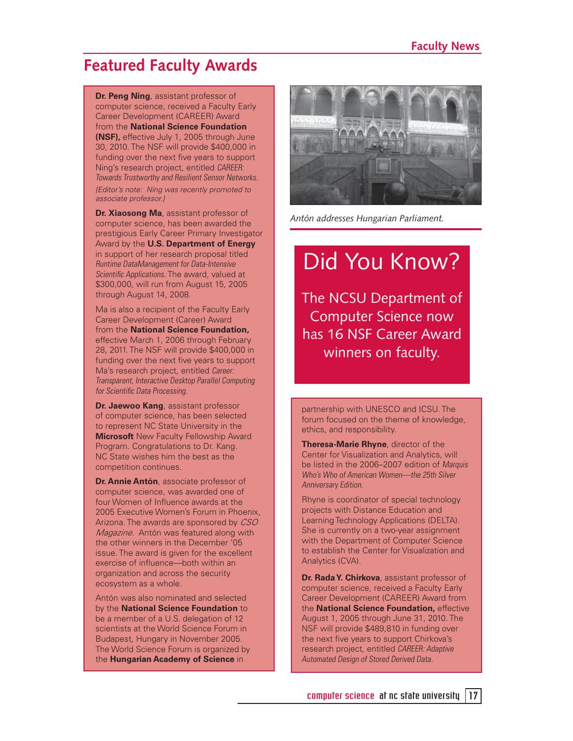### **Featured Faculty Awards**

**Dr. Peng Ning**, assistant professor of computer science, received a Faculty Early Career Development (CAREER) Award from the **National Science Foundation (NSF),** effective July 1, 2005 through June 30, 2010. The NSF will provide \$400,000 in funding over the next five years to support Ning's research project, entitled CAREER: Towards Trustworthy and Resilient Sensor Networks. [Editor's note: Ning was recently promoted to associate professor.]

**Dr. Xiaosong Ma**, assistant professor of computer science, has been awarded the prestigious Early Career Primary Investigator Award by the **U.S. Department of Energy**  in support of her research proposal titled Runtime DataManagement for Data-Intensive Scientific Applications. The award, valued at \$300,000, will run from August 15, 2005 through August 14, 2008.

Ma is also a recipient of the Faculty Early Career Development (Career) Award from the **National Science Foundation,** effective March 1, 2006 through February 28, 2011. The NSF will provide \$400,000 in funding over the next five years to support Ma's research project, entitled Career: Transparent, Interactive Desktop Parallel Computing for Scientific Data Processing.

**Dr. Jaewoo Kang**, assistant professor of computer science, has been selected to represent NC State University in the **Microsoft** New Faculty Fellowship Award Program. Congratulations to Dr. Kang. NC State wishes him the best as the competition continues.

**Dr. Annie Antón**, associate professor of computer science, was awarded one of four Women of Influence awards at the 2005 Executive Women's Forum in Phoenix, Arizona. The awards are sponsored by CSO Magazine. Antón was featured along with the other winners in the December '05 issue. The award is given for the excellent exercise of influence—both within an organization and across the security ecosystem as a whole.

Antón was also nominated and selected by the **National Science Foundation** to be a member of a U.S. delegation of 12 scientists at the World Science Forum in Budapest, Hungary in November 2005. The World Science Forum is organized by the **Hungarian Academy of Science** in



*Antón addresses Hungarian Parliament.*

# Did You Know?

The NCSU Department of Computer Science now has 16 NSF Career Award winners on faculty.

partnership with UNESCO and ICSU. The forum focused on the theme of knowledge, ethics, and responsibility.

**Theresa-Marie Rhyne**, director of the Center for Visualization and Analytics, will be listed in the 2006–2007 edition of Marquis Who's Who of American Women—the 25th Silver Anniversary Edition.

Rhyne is coordinator of special technology projects with Distance Education and Learning Technology Applications (DELTA). She is currently on a two-year assignment with the Department of Computer Science to establish the Center for Visualization and Analytics (CVA).

**Dr. Rada Y. Chirkova**, assistant professor of computer science, received a Faculty Early Career Development (CAREER) Award from the **National Science Foundation,** effective August 1, 2005 through June 31, 2010. The NSF will provide \$489,810 in funding over the next five years to support Chirkova's research project, entitled CAREER: Adaptive Automated Design of Stored Derived Data.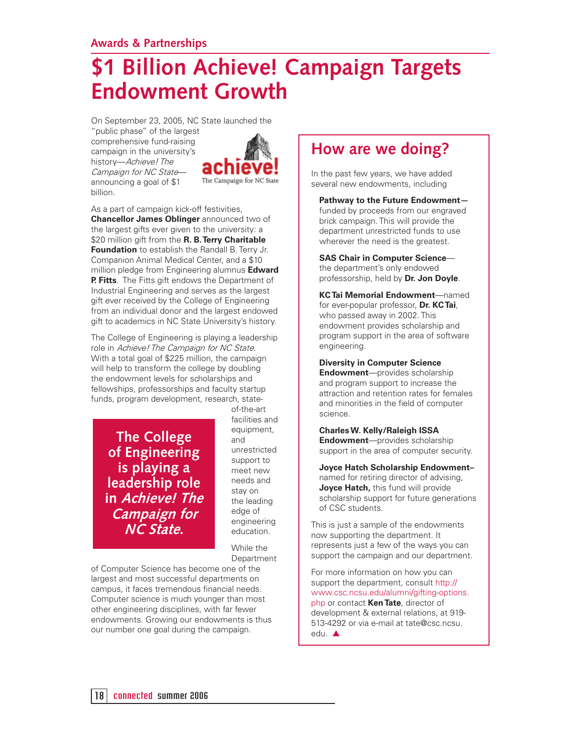#### **Awards & Partnerships**

# **\$1 Billion Achieve! Campaign Targets Endowment Growth**

On September 23, 2005, NC State launched the

"public phase" of the largest comprehensive fund-raising campaign in the university's history—Achieve! The Campaign for NC State announcing a goal of \$1 billion.



As a part of campaign kick-off festivities, **Chancellor James Oblinger** announced two of the largest gifts ever given to the university: a \$20 million gift from the **R. B. Terry Charitable Foundation** to establish the Randall B. Terry Jr. Companion Animal Medical Center, and a \$10 million pledge from Engineering alumnus **Edward P. Fitts**. The Fitts gift endows the Department of Industrial Engineering and serves as the largest gift ever received by the College of Engineering from an individual donor and the largest endowed gift to academics in NC State University's history.

The College of Engineering is playing a leadership role in Achieve! The Campaign for NC State. With a total goal of \$225 million, the campaign will help to transform the college by doubling the endowment levels for scholarships and fellowships, professorships and faculty startup funds, program development, research, state-

**The College of Engineering is playing a leadership role in Achieve! The Campaign for NC State.**

of-the-art facilities and equipment, and unrestricted support to meet new needs and stay on the leading edge of engineering education.

While the **Department** 

of Computer Science has become one of the largest and most successful departments on campus, it faces tremendous financial needs. Computer science is much younger than most other engineering disciplines, with far fewer endowments. Growing our endowments is thus our number one goal during the campaign.

### **How are we doing?**

In the past few years, we have added several new endowments, including

**Pathway to the Future Endowment** funded by proceeds from our engraved brick campaign. This will provide the department unrestricted funds to use wherever the need is the greatest.

**SAS Chair in Computer Science** the department's only endowed professorship, held by **Dr. Jon Doyle**.

**KC Tai Memorial Endowment**—named for ever-popular professor, **Dr. KC Tai**, who passed away in 2002. This endowment provides scholarship and program support in the area of software engineering.

**Diversity in Computer Science Endowment**—provides scholarship and program support to increase the attraction and retention rates for females and minorities in the field of computer science.

**Charles W. Kelly/Raleigh ISSA Endowment**—provides scholarship support in the area of computer security.

**Joyce Hatch Scholarship Endowment–** named for retiring director of advising, **Joyce Hatch, this fund will provide** scholarship support for future generations of CSC students.

This is just a sample of the endowments now supporting the department. It represents just a few of the ways you can support the campaign and our department.

For more information on how you can support the department, consult http:// www.csc.ncsu.edu/alumni/gifting-options. php or contact **Ken Tate**, director of development & external relations, at 919- 513-4292 or via e-mail at tate@csc.ncsu. edu. ▲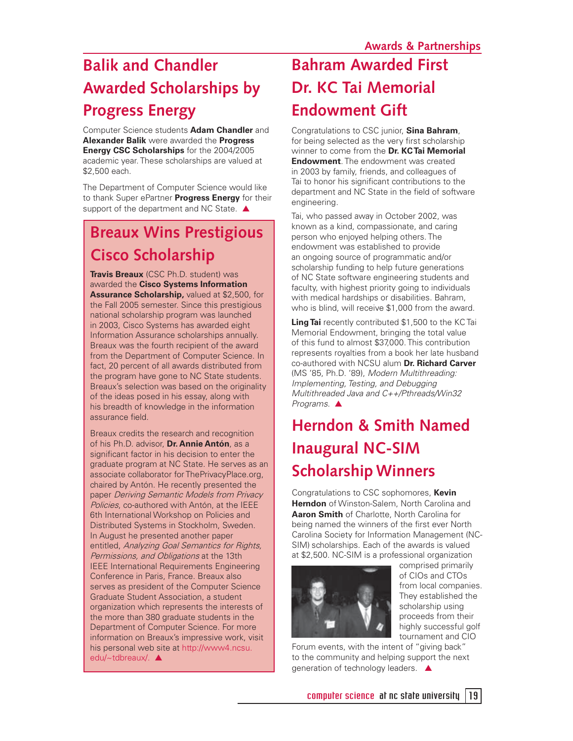# **Balik and Chandler Awarded Scholarships by Progress Energy**

Computer Science students **Adam Chandler** and **Alexander Balik** were awarded the **Progress Energy CSC Scholarships** for the 2004/2005 academic year. These scholarships are valued at \$2,500 each.

The Department of Computer Science would like to thank Super ePartner **Progress Energy** for their support of the department and NC State. ▲

### **Breaux Wins Prestigious Cisco Scholarship**

**Travis Breaux** (CSC Ph.D. student) was awarded the **Cisco Systems Information Assurance Scholarship,** valued at \$2,500, for the Fall 2005 semester. Since this prestigious national scholarship program was launched in 2003, Cisco Systems has awarded eight Information Assurance scholarships annually. Breaux was the fourth recipient of the award from the Department of Computer Science. In fact, 20 percent of all awards distributed from the program have gone to NC State students. Breaux's selection was based on the originality of the ideas posed in his essay, along with his breadth of knowledge in the information assurance field.

Breaux credits the research and recognition of his Ph.D. advisor, **Dr. Annie Antón**, as a significant factor in his decision to enter the graduate program at NC State. He serves as an associate collaborator for ThePrivacyPlace.org, chaired by Antón. He recently presented the paper Deriving Semantic Models from Privacy Policies, co-authored with Antón, at the IEEE 6th International Workshop on Policies and Distributed Systems in Stockholm, Sweden. In August he presented another paper entitled, Analyzing Goal Semantics for Rights, Permissions, and Obligations at the 13th IEEE International Requirements Engineering Conference in Paris, France. Breaux also serves as president of the Computer Science Graduate Student Association, a student organization which represents the interests of the more than 380 graduate students in the Department of Computer Science. For more information on Breaux's impressive work, visit his personal web site at http://www4.ncsu. edu/~tdbreaux/. ▲

# **Bahram Awarded First Dr. KC Tai Memorial Endowment Gift**

Congratulations to CSC junior, **Sina Bahram**, for being selected as the very first scholarship winner to come from the **Dr. KC Tai Memorial Endowment**. The endowment was created in 2003 by family, friends, and colleagues of Tai to honor his significant contributions to the department and NC State in the field of software engineering.

Tai, who passed away in October 2002, was known as a kind, compassionate, and caring person who enjoyed helping others. The endowment was established to provide an ongoing source of programmatic and/or scholarship funding to help future generations of NC State software engineering students and faculty, with highest priority going to individuals with medical hardships or disabilities. Bahram, who is blind, will receive \$1,000 from the award.

**Ling Tai** recently contributed \$1,500 to the KC Tai Memorial Endowment, bringing the total value of this fund to almost \$37,000. This contribution represents royalties from a book her late husband co-authored with NCSU alum **Dr. Richard Carver**  (MS '85, Ph.D. '89), Modern Multithreading: Implementing, Testing, and Debugging Multithreaded Java and C++/Pthreads/Win32 Programs. ▲

# **Herndon & Smith Named Inaugural NC-SIM ScholarshipWinners**

Congratulations to CSC sophomores, **Kevin Herndon** of Winston-Salem, North Carolina and **Aaron Smith** of Charlotte, North Carolina for being named the winners of the first ever North Carolina Society for Information Management (NC-SIM) scholarships. Each of the awards is valued at \$2,500. NC-SIM is a professional organization



comprised primarily of CIOs and CTOs from local companies. They established the scholarship using proceeds from their highly successful golf tournament and CIO

Forum events, with the intent of "giving back" to the community and helping support the next generation of technology leaders. ▲

computer science at nc state university 19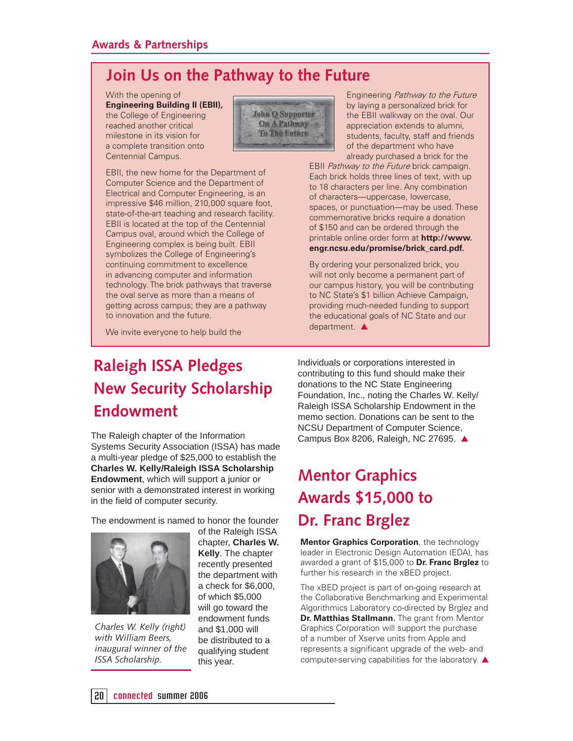### **Join Us on the Pathway to the Future**

With the opening of **Engineering Building II (EBII),** the College of Engineering reached another critical milestone in its vision for a complete transition onto Centennial Campus.

EBII, the new home for the Department of Computer Science and the Department of Electrical and Computer Engineering, is an impressive \$46 million, 210,000 square foot, state-of-the-art teaching and research facility. EBII is located at the top of the Centennial Campus oval, around which the College of Engineering complex is being built. EBII symbolizes the College of Engineering's continuing commitment to excellence in advancing computer and information technology. The brick pathways that traverse the oval serve as more than a means of getting across campus; they are a pathway



Engineering Pathway to the Future by laying a personalized brick for the EBII walkway on the oval. Our appreciation extends to alumni, students, faculty, staff and friends of the department who have already purchased a brick for the

EBII Pathway to the Future brick campaign. Each brick holds three lines of text, with up to 18 characters per line. Any combination of characters—uppercase, lowercase, spaces, or punctuation—may be used. These commemorative bricks require a donation of \$150 and can be ordered through the printable online order form at **http://www. engr.ncsu.edu/promise/brick\_card.pdf.**

By ordering your personalized brick, you will not only become a permanent part of our campus history, you will be contributing to NC State's \$1 billion Achieve Campaign, providing much-needed funding to support the educational goals of NC State and our department. ▲

We invite everyone to help build the

to innovation and the future.

### **Raleigh ISSA Pledges New Security Scholarship Endowment**

The Raleigh chapter of the Information Systems Security Association (ISSA) has made a multi-year pledge of \$25,000 to establish the **Charles W. Kelly/Raleigh ISSA Scholarship Endowment**, which will support a junior or senior with a demonstrated interest in working in the field of computer security.

The endowment is named to honor the founder



*Charles W. Kelly (right) with William Beers, inaugural winner of the ISSA Scholarship.*

of the Raleigh ISSA chapter, **Charles W. Kelly**. The chapter recently presented the department with a check for \$6,000, of which \$5,000 will go toward the endowment funds and \$1,000 will be distributed to a qualifying student this year.

Individuals or corporations interested in contributing to this fund should make their donations to the NC State Engineering Foundation, Inc., noting the Charles W. Kelly/ Raleigh ISSA Scholarship Endowment in the memo section. Donations can be sent to the NCSU Department of Computer Science, Campus Box 8206, Raleigh, NC 27695. ▲

# **Mentor Graphics Awards \$15,000 to Dr. Franc Brglez**

**Mentor Graphics Corporation**, the technology leader in Electronic Design Automation (EDA), has awarded a grant of \$15,000 to **Dr. Franc Brglez** to further his research in the xBED project.

The xBED project is part of on-going research at the Collaborative Benchmarking and Experimental Algorithmics Laboratory co-directed by Brglez and **Dr. Matthias Stallmann.** The grant from Mentor Graphics Corporation will support the purchase of a number of Xserve units from Apple and represents a significant upgrade of the web- and computer-serving capabilities for the laboratory. ▲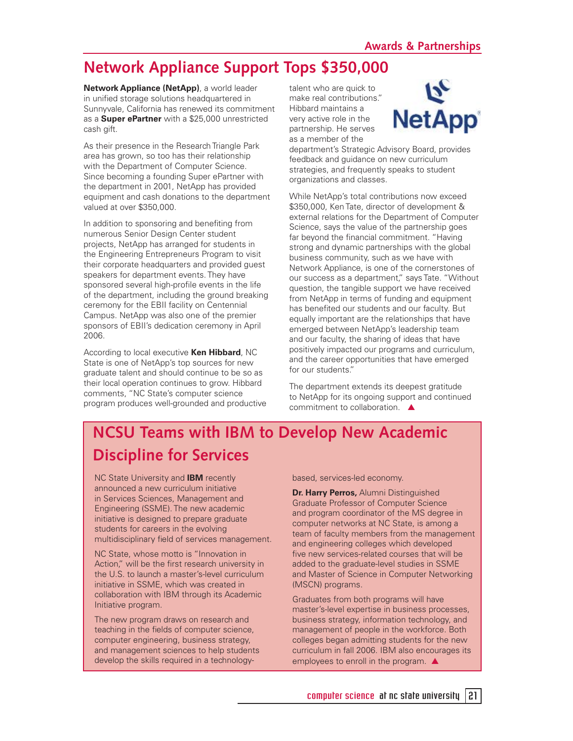### **Network Appliance Support Tops \$350,000**

**Network Appliance (NetApp)**, a world leader in unified storage solutions headquartered in Sunnyvale, California has renewed its commitment as a **Super ePartner** with a \$25,000 unrestricted cash gift.

As their presence in the Research Triangle Park area has grown, so too has their relationship with the Department of Computer Science. Since becoming a founding Super ePartner with the department in 2001, NetApp has provided equipment and cash donations to the department valued at over \$350,000.

In addition to sponsoring and benefiting from numerous Senior Design Center student projects, NetApp has arranged for students in the Engineering Entrepreneurs Program to visit their corporate headquarters and provided guest speakers for department events. They have sponsored several high-profile events in the life of the department, including the ground breaking ceremony for the EBII facility on Centennial Campus. NetApp was also one of the premier sponsors of EBII's dedication ceremony in April 2006.

According to local executive **Ken Hibbard**, NC State is one of NetApp's top sources for new graduate talent and should continue to be so as their local operation continues to grow. Hibbard comments, "NC State's computer science program produces well-grounded and productive

talent who are quick to make real contributions." Hibbard maintains a very active role in the partnership. He serves as a member of the



department's Strategic Advisory Board, provides feedback and guidance on new curriculum strategies, and frequently speaks to student organizations and classes.

While NetApp's total contributions now exceed \$350,000, Ken Tate, director of development & external relations for the Department of Computer Science, says the value of the partnership goes far beyond the financial commitment. "Having strong and dynamic partnerships with the global business community, such as we have with Network Appliance, is one of the cornerstones of our success as a department," says Tate. "Without question, the tangible support we have received from NetApp in terms of funding and equipment has benefited our students and our faculty. But equally important are the relationships that have emerged between NetApp's leadership team and our faculty, the sharing of ideas that have positively impacted our programs and curriculum, and the career opportunities that have emerged for our students."

The department extends its deepest gratitude to NetApp for its ongoing support and continued commitment to collaboration. **▲** 

### **NCSU Teams with IBM to Develop New Academic Discipline for Services**

NC State University and **IBM** recently announced a new curriculum initiative in Services Sciences, Management and Engineering (SSME). The new academic initiative is designed to prepare graduate students for careers in the evolving multidisciplinary field of services management.

NC State, whose motto is "Innovation in Action," will be the first research university in the U.S. to launch a master's-level curriculum initiative in SSME, which was created in collaboration with IBM through its Academic Initiative program.

The new program draws on research and teaching in the fields of computer science. computer engineering, business strategy, and management sciences to help students develop the skills required in a technologybased, services-led economy.

**Dr. Harry Perros,** Alumni Distinguished Graduate Professor of Computer Science and program coordinator of the MS degree in computer networks at NC State, is among a team of faculty members from the management and engineering colleges which developed five new services-related courses that will be added to the graduate-level studies in SSME and Master of Science in Computer Networking (MSCN) programs.

Graduates from both programs will have master's-level expertise in business processes, business strategy, information technology, and management of people in the workforce. Both colleges began admitting students for the new curriculum in fall 2006. IBM also encourages its employees to enroll in the program.  $\triangle$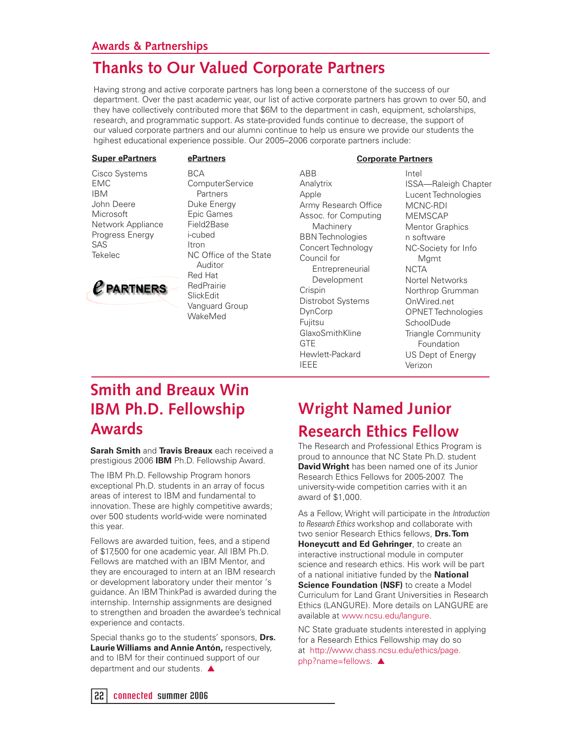#### **Awards & Partnerships**

### **Thanks to Our Valued Corporate Partners**

Having strong and active corporate partners has long been a cornerstone of the success of our department. Over the past academic year, our list of active corporate partners has grown to over 50, and they have collectively contributed more that \$6M to the department in cash, equipment, scholarships, research, and programmatic support. As state-provided funds continue to decrease, the support of our valued corporate partners and our alumni continue to help us ensure we provide our students the hgihest educational experience possible. Our 2005–2006 corporate partners include:

#### **Super ePartners ePartners**

#### Cisco Systems EMC IBM John Deere **Microsoft** Network Appliance Progress Energy SAS Tekelec



BCA **ComputerService**  Partners Duke Energy Epic Games Field2Base i-cubed Itron NC Office of the State Auditor Red Hat RedPrairie SlickEdit Vanguard Group WakeMed

ABB **Analytrix** Apple Army Research Office Assoc. for Computing **Machinery** BBN Technologies Concert Technology Council for **Entrepreneurial**  Development **Crispin** Distrobot Systems DynCorp Fujitsu GlaxoSmithKline **GTF** Hewlett-Packard IEEE

#### **Corporate Partners**

Intel ISSA—Raleigh Chapter Lucent Technologies MCNC-RDI MEMSCAP Mentor Graphics n software NC-Society for Info Mgmt **NCTA** Nortel Networks Northrop Grumman OnWired.net OPNET Technologies SchoolDude Triangle Community Foundation US Dept of Energy Verizon

### **Smith and Breaux Win IBM Ph.D. Fellowship Awards**

**Sarah Smith** and **Travis Breaux** each received a prestigious 2006 **IBM** Ph.D. Fellowship Award.

The IBM Ph.D. Fellowship Program honors exceptional Ph.D. students in an array of focus areas of interest to IBM and fundamental to innovation. These are highly competitive awards; over 500 students world-wide were nominated this year.

Fellows are awarded tuition, fees, and a stipend of \$17,500 for one academic year. All IBM Ph.D. Fellows are matched with an IBM Mentor, and they are encouraged to intern at an IBM research or development laboratory under their mentor 's guidance. An IBM ThinkPad is awarded during the internship. Internship assignments are designed to strengthen and broaden the awardee's technical experience and contacts.

Special thanks go to the students' sponsors, **Drs. Laurie Williams and Annie Antón,** respectively, and to IBM for their continued support of our department and our students. ▲

# **Wright Named Junior**

**Research Ethics Fellow**

The Research and Professional Ethics Program is proud to announce that NC State Ph.D. student **David Wright** has been named one of its Junior Research Ethics Fellows for 2005-2007. The university-wide competition carries with it an award of \$1,000.

As a Fellow, Wright will participate in the Introduction to Research Ethics workshop and collaborate with two senior Research Ethics fellows, **Drs. Tom Honeycutt and Ed Gehringer**, to create an interactive instructional module in computer science and research ethics. His work will be part of a national initiative funded by the **National Science Foundation (NSF)** to create a Model Curriculum for Land Grant Universities in Research Ethics (LANGURE). More details on LANGURE are available at www.ncsu.edu/langure.

NC State graduate students interested in applying for a Research Ethics Fellowship may do so at http://www.chass.ncsu.edu/ethics/page. php?name=fellows. ▲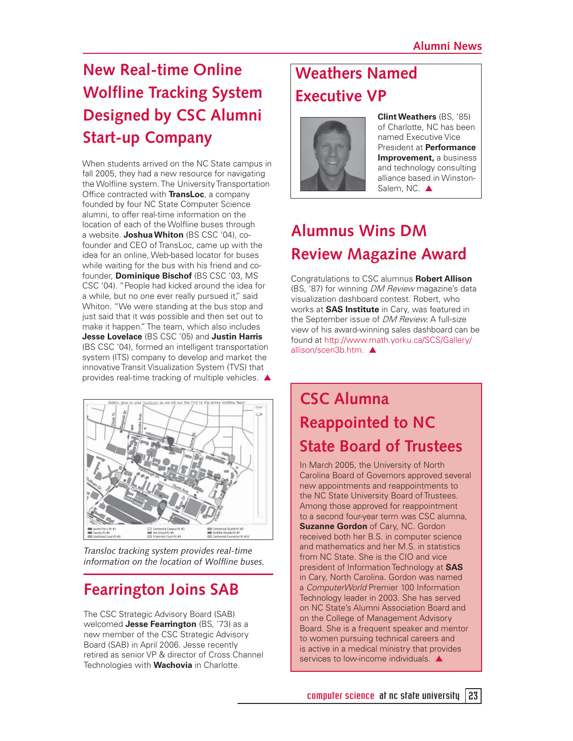# **New Real-time Online Wolfline Tracking System Designed by CSC Alumni Start-up Company**

When students arrived on the NC State campus in fall 2005, they had a new resource for navigating the Wolfline system. The University Transportation Office contracted with **TransLoc**, a company founded by four NC State Computer Science alumni, to offer real-time information on the location of each of the Wolfline buses through a website. **Joshua Whiton** (BS CSC '04), cofounder and CEO of TransLoc, came up with the idea for an online, Web-based locator for buses while waiting for the bus with his friend and cofounder, **Dominique Bischof** (BS CSC '03, MS CSC '04). "People had kicked around the idea for a while, but no one ever really pursued it," said Whiton. "We were standing at the bus stop and just said that it was possible and then set out to make it happen." The team, which also includes **Jesse Lovelace** (BS CSC '05) and **Justin Harris** (BS CSC '04), formed an intelligent transportation system (ITS) company to develop and market the innovative Transit Visualization System (TVS) that provides real-time tracking of multiple vehicles. ▲



*Transloc tracking system provides real-time*  information on the location of Wolfline buses.

### **Fearrington Joins SAB**

The CSC Strategic Advisory Board (SAB) welcomed **Jesse Fearrington** (BS, '73) as a new member of the CSC Strategic Advisory Board (SAB) in April 2006. Jesse recently retired as senior VP & director of Cross Channel Technologies with **Wachovia** in Charlotte.

### **Weathers Named Executive VP**



**Clint Weathers** (BS, '85) of Charlotte, NC has been named Executive Vice President at **Performance Improvement,** a business and technology consulting alliance based in Winston-Salem, NC. ▲

### **Alumnus Wins DM Review Magazine Award**

Congratulations to CSC alumnus **Robert Allison** (BS, '87) for winning DM Review magazine's data visualization dashboard contest. Robert, who works at **SAS Institute** in Cary, was featured in the September issue of DM Review. A full-size view of his award-winning sales dashboard can be found at http://www.math.yorku.ca/SCS/Gallery/ allison/scen3b.htm. ▲

### **CSC Alumna Reappointed to NC State Board of Trustees**

In March 2005, the University of North Carolina Board of Governors approved several new appointments and reappointments to the NC State University Board of Trustees. Among those approved for reappointment to a second four-year term was CSC alumna, **Suzanne Gordon** of Cary, NC. Gordon received both her B.S. in computer science and mathematics and her M.S. in statistics from NC State. She is the CIO and vice president of Information Technology at **SAS**  in Cary, North Carolina. Gordon was named a ComputerWorld Premier 100 Information Technology leader in 2003. She has served on NC State's Alumni Association Board and on the College of Management Advisory Board. She is a frequent speaker and mentor to women pursuing technical careers and is active in a medical ministry that provides services to low-income individuals.  $\triangle$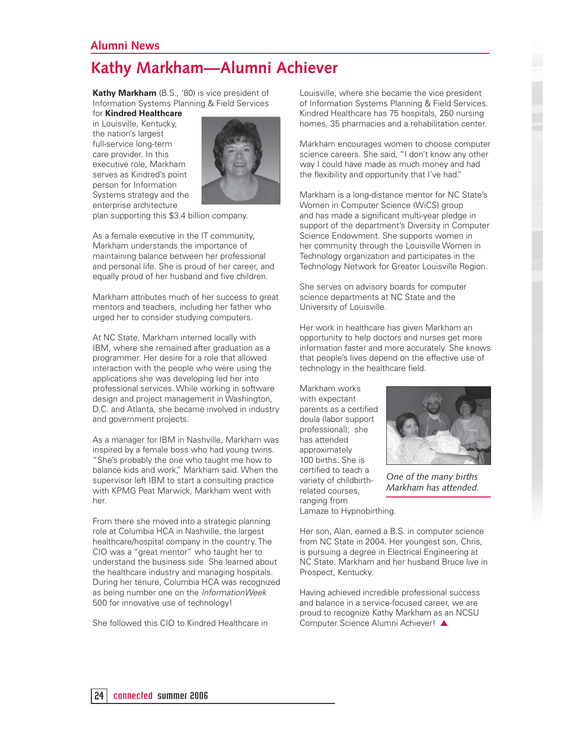#### **Alumni News**

### **Kathy Markham—Alumni Achiever**

**Kathy Markham** (B.S., '80) is vice president of Information Systems Planning & Field Services

for **Kindred Healthcare**  in Louisville, Kentucky, the nation's largest full-service long-term care provider. In this executive role, Markham serves as Kindred's point person for Information Systems strategy and the enterprise architecture



plan supporting this \$3.4 billion company.

As a female executive in the IT community, Markham understands the importance of maintaining balance between her professional and personal life. She is proud of her career, and equally proud of her husband and five children.

Markham attributes much of her success to great mentors and teachers, including her father who urged her to consider studying computers.

At NC State, Markham interned locally with IBM, where she remained after graduation as a programmer. Her desire for a role that allowed interaction with the people who were using the applications she was developing led her into professional services. While working in software design and project management in Washington, D.C. and Atlanta, she became involved in industry and government projects.

As a manager for IBM in Nashville, Markham was inspired by a female boss who had young twins. "She's probably the one who taught me how to balance kids and work," Markham said. When the supervisor left IBM to start a consulting practice with KPMG Peat Marwick, Markham went with her.

From there she moved into a strategic planning role at Columbia HCA in Nashville, the largest healthcare/hospital company in the country. The CIO was a "great mentor" who taught her to understand the business side. She learned about the healthcare industry and managing hospitals. During her tenure, Columbia HCA was recognized as being number one on the InformationWeek 500 for innovative use of technology!

She followed this CIO to Kindred Healthcare in

Louisville, where she became the vice president of Information Systems Planning & Field Services. Kindred Healthcare has 75 hospitals, 250 nursing homes, 35 pharmacies and a rehabilitation center.

Markham encourages women to choose computer science careers. She said, "I don't know any other way I could have made as much money and had the flexibility and opportunity that I've had."

Markham is a long-distance mentor for NC State's Women in Computer Science (WiCS) group and has made a significant multi-year pledge in support of the department's Diversity in Computer Science Endowment. She supports women in her community through the Louisville Women in Technology organization and participates in the Technology Network for Greater Louisville Region.

She serves on advisory boards for computer science departments at NC State and the University of Louisville.

Her work in healthcare has given Markham an opportunity to help doctors and nurses get more information faster and more accurately. She knows that people's lives depend on the effective use of technology in the healthcare field.

Markham works with expectant parents as a certified doula (labor support professional); she has attended approximately 100 births. She is certified to teach a variety of childbirthrelated courses, ranging from



Her son, Alan, earned a B.S. in computer science from NC State in 2004. Her youngest son, Chris, is pursuing a degree in Electrical Engineering at NC State. Markham and her husband Bruce live in Prospect, Kentucky.

*One of the many births Markham has attended.*

Having achieved incredible professional success and balance in a service-focused career, we are proud to recognize Kathy Markham as an NCSU Computer Science Alumni Achiever! ▲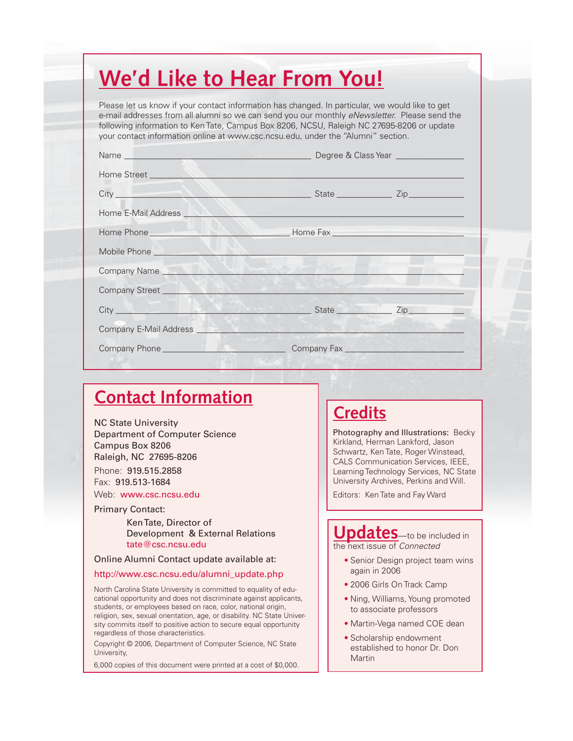# **We'd Like to Hear From You!**

Please let us know if your contact information has changed. In particular, we would like to get e-mail addresses from all alumni so we can send you our monthly *eNewsletter*. Please send the following information to Ken Tate, Campus Box 8206, NCSU, Raleigh NC 27695-8206 or update your contact information online at www.csc.ncsu.edu, under the "Alumni" section.

| Home E-Mail Address       |  |  |
|---------------------------|--|--|
|                           |  |  |
|                           |  |  |
| Company Name Company Name |  |  |
|                           |  |  |
| City Zip                  |  |  |
|                           |  |  |
|                           |  |  |

### **Contact Information**

NC State University Department of Computer Science Campus Box 8206 Raleigh, NC 27695-8206 Phone: 919.515.2858 Fax: 919.513-1684 Web: www.csc.ncsu.edu

Primary Contact:

 Ken Tate, Director of Development & External Relations tate@csc.ncsu.edu

#### Online Alumni Contact update available at:

#### http://www.csc.ncsu.edu/alumni\_update.php

North Carolina State University is committed to equality of educational opportunity and does not discriminate against applicants, students, or employees based on race, color, national origin, religion, sex, sexual orientation, age, or disability. NC State University commits itself to positive action to secure equal opportunity regardless of those characteristics.

Copyright © 2006, Department of Computer Science, NC State University,

6,000 copies of this document were printed at a cost of \$0,000.

### **Credits**

Photography and Illustrations: Becky Kirkland, Herman Lankford, Jason Schwartz, Ken Tate, Roger Winstead, CALS Communication Services, IEEE, Learning Technology Services, NC State University Archives, Perkins and Will.

Editors: Ken Tate and Fay Ward

#### **Updates**—to be included in the next issue of Connected

- Senior Design project team wins again in 2006
- 2006 Girls On Track Camp
- Ning, Williams, Young promoted to associate professors
- Martin-Vega named COE dean •
- Scholarship endowment established to honor Dr. Don Martin